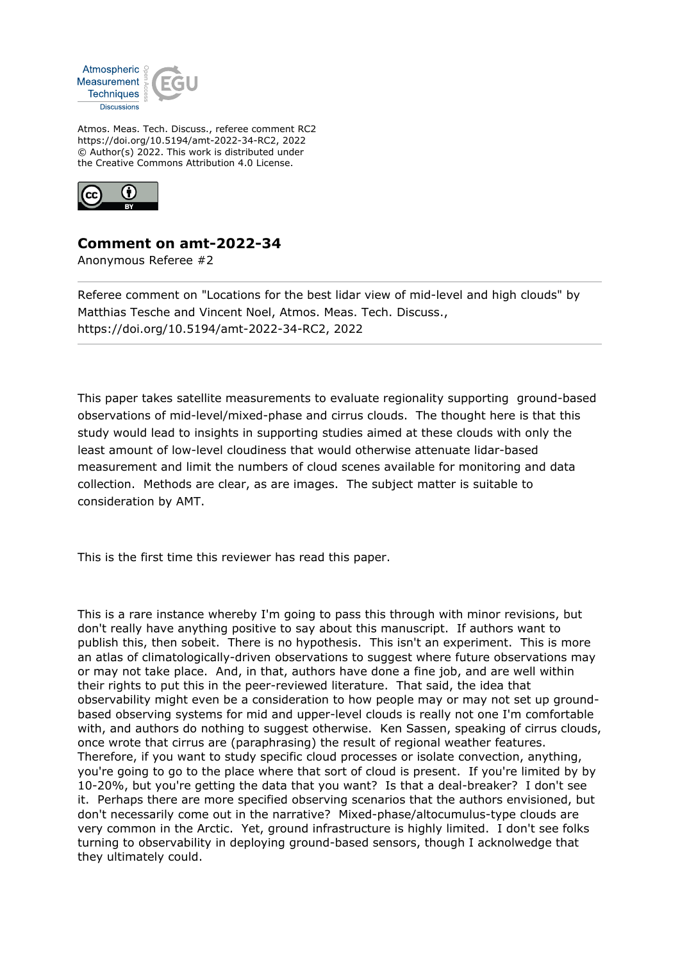

Atmos. Meas. Tech. Discuss., referee comment RC2 https://doi.org/10.5194/amt-2022-34-RC2, 2022 © Author(s) 2022. This work is distributed under the Creative Commons Attribution 4.0 License.



## **Comment on amt-2022-34**

Anonymous Referee #2

Referee comment on "Locations for the best lidar view of mid-level and high clouds" by Matthias Tesche and Vincent Noel, Atmos. Meas. Tech. Discuss., https://doi.org/10.5194/amt-2022-34-RC2, 2022

This paper takes satellite measurements to evaluate regionality supporting ground-based observations of mid-level/mixed-phase and cirrus clouds. The thought here is that this study would lead to insights in supporting studies aimed at these clouds with only the least amount of low-level cloudiness that would otherwise attenuate lidar-based measurement and limit the numbers of cloud scenes available for monitoring and data collection. Methods are clear, as are images. The subject matter is suitable to consideration by AMT.

This is the first time this reviewer has read this paper.

This is a rare instance whereby I'm going to pass this through with minor revisions, but don't really have anything positive to say about this manuscript. If authors want to publish this, then sobeit. There is no hypothesis. This isn't an experiment. This is more an atlas of climatologically-driven observations to suggest where future observations may or may not take place. And, in that, authors have done a fine job, and are well within their rights to put this in the peer-reviewed literature. That said, the idea that observability might even be a consideration to how people may or may not set up groundbased observing systems for mid and upper-level clouds is really not one I'm comfortable with, and authors do nothing to suggest otherwise. Ken Sassen, speaking of cirrus clouds, once wrote that cirrus are (paraphrasing) the result of regional weather features. Therefore, if you want to study specific cloud processes or isolate convection, anything, you're going to go to the place where that sort of cloud is present. If you're limited by by 10-20%, but you're getting the data that you want? Is that a deal-breaker? I don't see it. Perhaps there are more specified observing scenarios that the authors envisioned, but don't necessarily come out in the narrative? Mixed-phase/altocumulus-type clouds are very common in the Arctic. Yet, ground infrastructure is highly limited. I don't see folks turning to observability in deploying ground-based sensors, though I acknolwedge that they ultimately could.